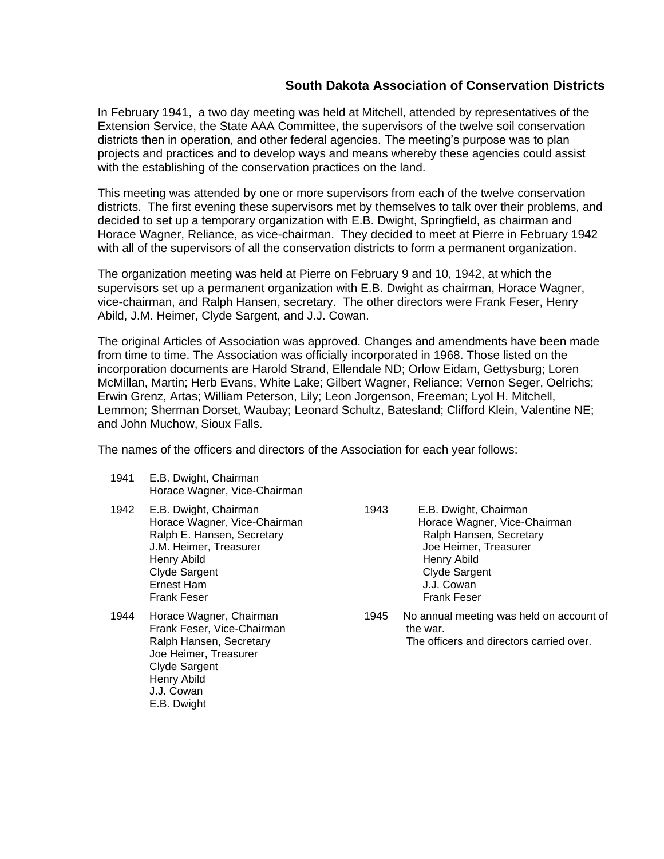# **South Dakota Association of Conservation Districts**

In February 1941, a two day meeting was held at Mitchell, attended by representatives of the Extension Service, the State AAA Committee, the supervisors of the twelve soil conservation districts then in operation, and other federal agencies. The meeting's purpose was to plan projects and practices and to develop ways and means whereby these agencies could assist with the establishing of the conservation practices on the land.

This meeting was attended by one or more supervisors from each of the twelve conservation districts. The first evening these supervisors met by themselves to talk over their problems, and decided to set up a temporary organization with E.B. Dwight, Springfield, as chairman and Horace Wagner, Reliance, as vice-chairman. They decided to meet at Pierre in February 1942 with all of the supervisors of all the conservation districts to form a permanent organization.

The organization meeting was held at Pierre on February 9 and 10, 1942, at which the supervisors set up a permanent organization with E.B. Dwight as chairman, Horace Wagner, vice-chairman, and Ralph Hansen, secretary. The other directors were Frank Feser, Henry Abild, J.M. Heimer, Clyde Sargent, and J.J. Cowan.

The original Articles of Association was approved. Changes and amendments have been made from time to time. The Association was officially incorporated in 1968. Those listed on the incorporation documents are Harold Strand, Ellendale ND; Orlow Eidam, Gettysburg; Loren McMillan, Martin; Herb Evans, White Lake; Gilbert Wagner, Reliance; Vernon Seger, Oelrichs; Erwin Grenz, Artas; William Peterson, Lily; Leon Jorgenson, Freeman; Lyol H. Mitchell, Lemmon; Sherman Dorset, Waubay; Leonard Schultz, Batesland; Clifford Klein, Valentine NE; and John Muchow, Sioux Falls.

The names of the officers and directors of the Association for each year follows:

- 1941 E.B. Dwight, Chairman Horace Wagner, Vice-Chairman
- 1942 E.B. Dwight, Chairman Horace Wagner, Vice-Chairman Ralph E. Hansen, Secretary J.M. Heimer, Treasurer Henry Abild Clyde Sargent Ernest Ham Frank Feser
- 1944 Horace Wagner, Chairman Frank Feser, Vice-Chairman Ralph Hansen, Secretary Joe Heimer, Treasurer Clyde Sargent Henry Abild J.J. Cowan E.B. Dwight

1943 E.B. Dwight, Chairman Horace Wagner, Vice-Chairman Ralph Hansen, Secretary Joe Heimer, Treasurer Henry Abild Clyde Sargent J.J. Cowan Frank Feser

1945 No annual meeting was held on account of the war. The officers and directors carried over.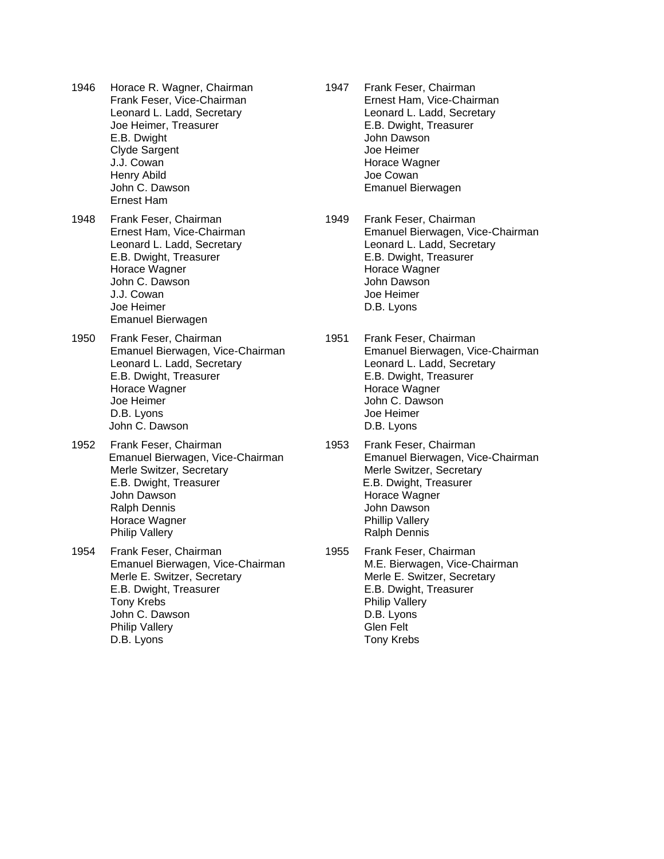- 1946 Horace R. Wagner, Chairman Frank Feser, Vice-Chairman Leonard L. Ladd, Secretary Joe Heimer, Treasurer E.B. Dwight Clyde Sargent J.J. Cowan Henry Abild John C. Dawson
- 1948 Frank Feser, Chairman Ernest Ham, Vice-Chairman Leonard L. Ladd, Secretary E.B. Dwight, Treasurer Horace Wagner John C. Dawson J.J. Cowan Joe Heimer Emanuel Bierwagen

Ernest Ham

- 1950 Frank Feser, Chairman Emanuel Bierwagen, Vice-Chairman Leonard L. Ladd, Secretary E.B. Dwight, Treasurer Horace Wagner Joe Heimer D.B. Lyons John C. Dawson
- 1952 Frank Feser, Chairman Emanuel Bierwagen, Vice-Chairman Merle Switzer, Secretary E.B. Dwight, Treasurer John Dawson Ralph Dennis Horace Wagner Philip Vallery
- 1954 Frank Feser, Chairman Emanuel Bierwagen, Vice-Chairman Merle E. Switzer, Secretary E.B. Dwight, Treasurer Tony Krebs John C. Dawson Philip Vallery D.B. Lyons
- 1947 Frank Feser, Chairman Ernest Ham, Vice-Chairman Leonard L. Ladd, Secretary E.B. Dwight, Treasurer John Dawson Joe Heimer Horace Wagner Joe Cowan Emanuel Bierwagen
- 1949 Frank Feser, Chairman Emanuel Bierwagen, Vice-Chairman Leonard L. Ladd, Secretary E.B. Dwight, Treasurer Horace Wagner John Dawson Joe Heimer D.B. Lyons
- 1951 Frank Feser, Chairman Emanuel Bierwagen, Vice-Chairman Leonard L. Ladd, Secretary E.B. Dwight, Treasurer Horace Wagner John C. Dawson Joe Heimer D.B. Lyons
- 1953 Frank Feser, Chairman Emanuel Bierwagen, Vice-Chairman Merle Switzer, Secretary E.B. Dwight, Treasurer Horace Wagner John Dawson Phillip Vallery Ralph Dennis
- 1955 Frank Feser, Chairman M.E. Bierwagen, Vice-Chairman Merle E. Switzer, Secretary E.B. Dwight, Treasurer Philip Vallery D.B. Lyons Glen Felt Tony Krebs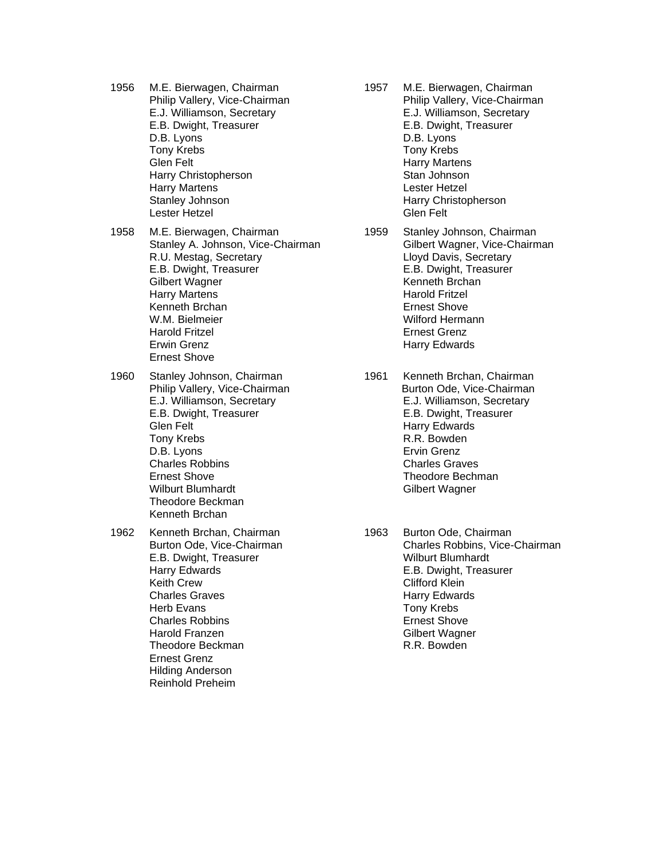- 1956 M.E. Bierwagen, Chairman Philip Vallery, Vice-Chairman E.J. Williamson, Secretary E.B. Dwight, Treasurer D.B. Lyons Tony Krebs Glen Felt Harry Christopherson Harry Martens Stanley Johnson Lester Hetzel
- 1958 M.E. Bierwagen, Chairman Stanley A. Johnson, Vice-Chairman R.U. Mestag, Secretary E.B. Dwight, Treasurer Gilbert Wagner Harry Martens Kenneth Brchan W.M. Bielmeier Harold Fritzel Erwin Grenz Ernest Shove
- 1960 Stanley Johnson, Chairman Philip Vallery, Vice-Chairman E.J. Williamson, Secretary E.B. Dwight, Treasurer Glen Felt Tony Krebs D.B. Lyons Charles Robbins Ernest Shove Wilburt Blumhardt Theodore Beckman Kenneth Brchan
- 1962 Kenneth Brchan, Chairman Burton Ode, Vice-Chairman E.B. Dwight, Treasurer Harry Edwards Keith Crew Charles Graves Herb Evans Charles Robbins Harold Franzen Theodore Beckman Ernest Grenz Hilding Anderson Reinhold Preheim
- 1957 M.E. Bierwagen, Chairman Philip Vallery, Vice-Chairman E.J. Williamson, Secretary E.B. Dwight, Treasurer D.B. Lyons Tony Krebs Harry Martens Stan Johnson Lester Hetzel Harry Christopherson Glen Felt
- 1959 Stanley Johnson, Chairman Gilbert Wagner, Vice-Chairman Lloyd Davis, Secretary E.B. Dwight, Treasurer Kenneth Brchan Harold Fritzel Ernest Shove Wilford Hermann Ernest Grenz Harry Edwards
- 1961 Kenneth Brchan, Chairman Burton Ode, Vice-Chairman E.J. Williamson, Secretary E.B. Dwight, Treasurer Harry Edwards R.R. Bowden Ervin Grenz Charles Graves Theodore Bechman Gilbert Wagner
- 1963 Burton Ode, Chairman Charles Robbins, Vice-Chairman Wilburt Blumhardt E.B. Dwight, Treasurer Clifford Klein Harry Edwards Tony Krebs Ernest Shove Gilbert Wagner R.R. Bowden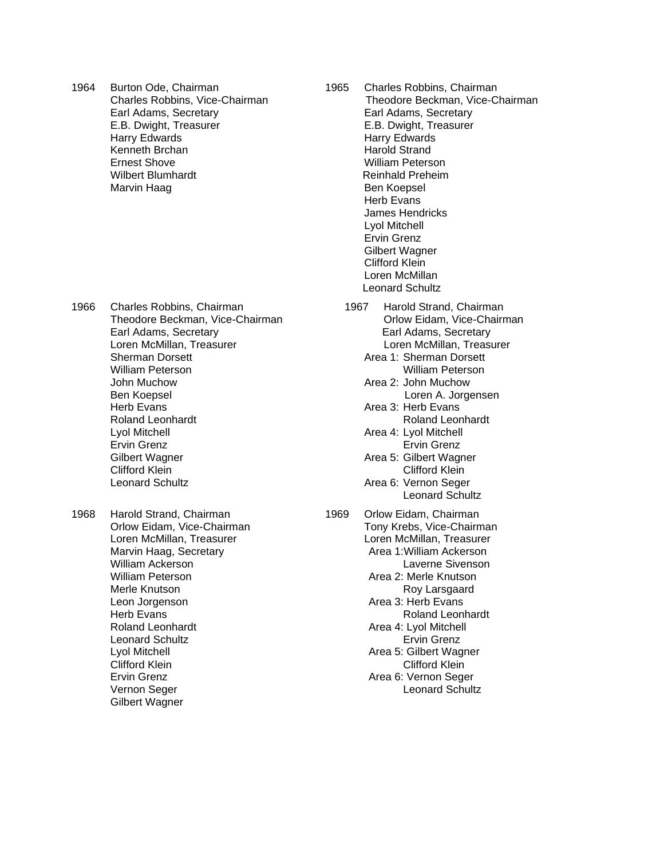1964 Burton Ode, Chairman Charles Robbins, Vice-Chairman Earl Adams, Secretary E.B. Dwight, Treasurer Harry Edwards Kenneth Brchan Ernest Shove Wilbert Blumhardt Marvin Haag

- 1966 Charles Robbins, Chairman Theodore Beckman, Vice-Chairman Earl Adams, Secretary Loren McMillan, Treasurer Sherman Dorsett William Peterson John Muchow Ben Koepsel Herb Evans Roland Leonhardt Lyol Mitchell Ervin Grenz Gilbert Wagner Clifford Klein Leonard Schultz
- 1968 Harold Strand, Chairman Orlow Eidam, Vice-Chairman Loren McMillan, Treasurer Marvin Haag, Secretary William Ackerson William Peterson Merle Knutson Leon Jorgenson Herb Evans Roland Leonhardt Leonard Schultz Lyol Mitchell Clifford Klein Ervin Grenz Vernon Seger Gilbert Wagner
- 1965 Charles Robbins, Chairman Theodore Beckman, Vice-Chairman Earl Adams, Secretary E.B. Dwight, Treasurer Harry Edwards Harold Strand William Peterson Reinhald Preheim Ben Koepsel Herb Evans James Hendricks Lyol Mitchell Ervin Grenz Gilbert Wagner Clifford Klein Loren McMillan Leonard Schultz
	- 1967 Harold Strand, Chairman Orlow Eidam, Vice-Chairman Earl Adams, Secretary Loren McMillan, Treasurer Area 1: Sherman Dorsett
		- William Peterson Area 2: John Muchow Loren A. Jorgensen
		- Area 3: Herb Evans Roland Leonhardt
		- Area 4: Lyol Mitchell Ervin Grenz
		- Area 5: Gilbert Wagner Clifford Klein
		- Area 6: Vernon Seger Leonard Schultz
- 1969 Orlow Eidam, Chairman Tony Krebs, Vice-Chairman Loren McMillan, Treasurer Area 1:William Ackerson Laverne Sivenson Area 2: Merle Knutson Roy Larsgaard Area 3: Herb Evans Roland Leonhardt Area 4: Lyol Mitchell Ervin Grenz Area 5: Gilbert Wagner Clifford Klein Area 6: Vernon Seger Leonard Schultz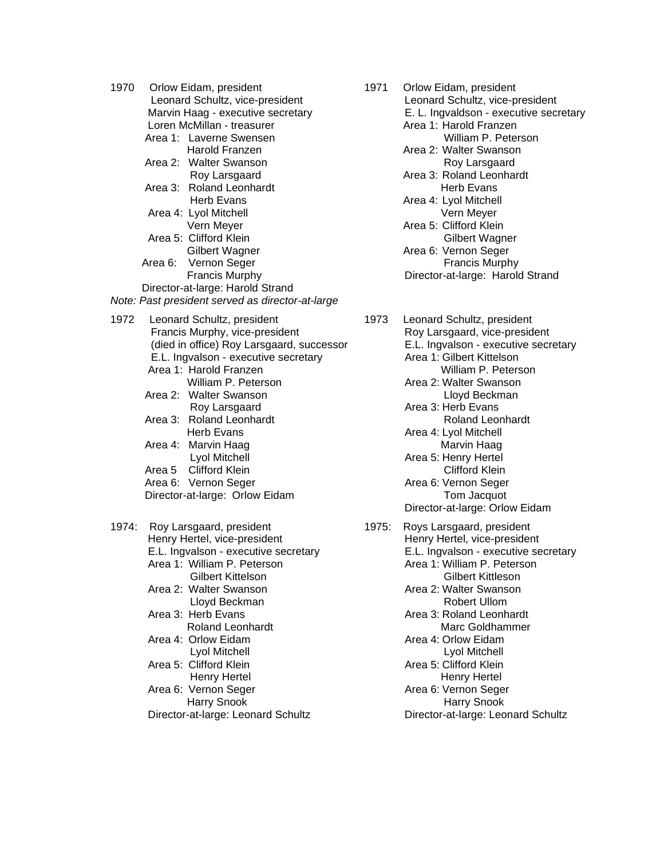| 1970  |                                   | Orlow Eidam, president                           |  |  |
|-------|-----------------------------------|--------------------------------------------------|--|--|
|       |                                   | Leonard Schultz, vice-president                  |  |  |
|       | Marvin Haag - executive secretary |                                                  |  |  |
|       |                                   | Loren McMillan - treasurer                       |  |  |
|       |                                   | Area 1: Laverne Swensen                          |  |  |
|       |                                   | <b>Harold Franzen</b>                            |  |  |
|       |                                   | Area 2: Walter Swanson                           |  |  |
|       |                                   |                                                  |  |  |
|       |                                   | Roy Larsgaard                                    |  |  |
|       |                                   | Area 3: Roland Leonhardt                         |  |  |
|       |                                   | <b>Herb Evans</b>                                |  |  |
|       |                                   | Area 4: Lyol Mitchell                            |  |  |
|       |                                   | Vern Meyer                                       |  |  |
|       |                                   | Area 5: Clifford Klein                           |  |  |
|       |                                   | Gilbert Wagner                                   |  |  |
|       | Area 6:                           | Vernon Seger                                     |  |  |
|       |                                   | <b>Francis Murphy</b>                            |  |  |
|       |                                   | Director-at-large: Harold Strand                 |  |  |
|       |                                   |                                                  |  |  |
|       |                                   | Note: Past president served as director-at-large |  |  |
| 1972  |                                   | Leonard Schultz, president                       |  |  |
|       |                                   | Francis Murphy, vice-president                   |  |  |
|       |                                   | (died in office) Roy Larsgaard, successor        |  |  |
|       |                                   | E.L. Ingvalson - executive secretary             |  |  |
|       |                                   |                                                  |  |  |
|       |                                   | Area 1: Harold Franzen                           |  |  |
|       |                                   | William P. Peterson                              |  |  |
|       |                                   | Area 2: Walter Swanson                           |  |  |
|       |                                   | Roy Larsgaard                                    |  |  |
|       |                                   | Area 3: Roland Leonhardt                         |  |  |
|       |                                   | <b>Herb Evans</b>                                |  |  |
|       |                                   | Area 4: Marvin Haag                              |  |  |
|       |                                   | Lyol Mitchell                                    |  |  |
|       |                                   | Area 5 Clifford Klein                            |  |  |
|       |                                   | Area 6: Vernon Seger                             |  |  |
|       |                                   |                                                  |  |  |
|       |                                   | Director-at-large: Orlow Eidam                   |  |  |
|       |                                   |                                                  |  |  |
| 1974: |                                   | Roy Larsgaard, president                         |  |  |
|       |                                   | Henry Hertel, vice-president                     |  |  |
|       |                                   | E.L. Ingvalson - executive secretary             |  |  |
|       |                                   | Area 1: William P. Peterson                      |  |  |
|       |                                   |                                                  |  |  |
|       |                                   | Gilbert Kittelson                                |  |  |
|       |                                   | Area 2: Walter Swanson                           |  |  |
|       |                                   | Lloyd Beckman                                    |  |  |
|       |                                   | Area 3: Herb Evans                               |  |  |
|       |                                   | <b>Roland Leonhardt</b>                          |  |  |
|       |                                   | Area 4: Orlow Eidam                              |  |  |
|       |                                   | Lyol Mitchell                                    |  |  |
|       |                                   | Area 5: Clifford Klein                           |  |  |
|       |                                   | <b>Henry Hertel</b>                              |  |  |
|       |                                   |                                                  |  |  |
|       |                                   | Area 6: Vernon Seger                             |  |  |
|       |                                   | Harry Snook                                      |  |  |
|       |                                   | Director-at-large: Leonard Schultz               |  |  |

- 1971 Orlow Eidam, president Leonard Schultz, vice-president E. L. Ingvaldson - executive secretary Area 1: Harold Franzen William P. Peterson Area 2: Walter Swanson Roy Larsgaard Area 3: Roland Leonhardt Herb Evans Area 4: Lyol Mitchell Vern Meyer Area 5: Clifford Klein Gilbert Wagner Area 6: Vernon Seger Francis Murphy Director-at-large: Harold Strand
- 1973 Leonard Schultz, president Roy Larsgaard, vice-president E.L. Ingvalson - executive secretary Area 1: Gilbert Kittelson William P. Peterson Area 2: Walter Swanson Lloyd Beckman Area 3: Herb Evans Roland Leonhardt Area 4: Lyol Mitchell Marvin Haag Area 5: Henry Hertel Clifford Klein Area 6: Vernon Seger Tom Jacquot Director-at-large: Orlow Eidam 1975: Roys Larsgaard, president Henry Hertel, vice-president E.L. Ingvalson - executive secretary Area 1: William P. Peterson Gilbert Kittleson Area 2: Walter Swanson
	- Robert Ullom Area 3: Roland Leonhardt Marc Goldhammer
	- Area 4: Orlow Eidam Lyol Mitchell Area 5: Clifford Klein Henry Hertel Area 6: Vernon Seger Harry Snook
	- Director-at-large: Leonard Schultz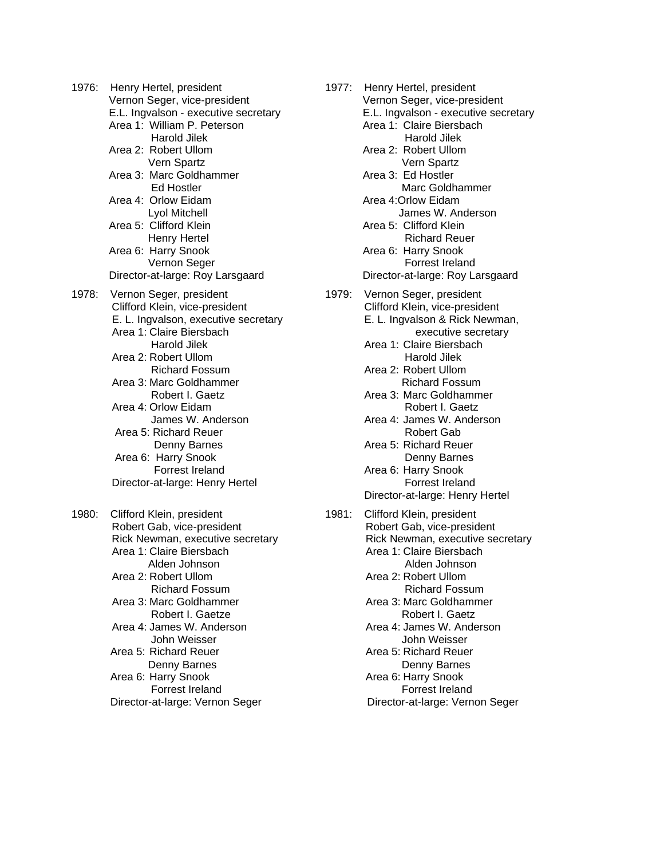1976: Henry Hertel, president Vernon Seger, vice-president E.L. Ingvalson - executive secretary Area 1: William P. Peterson Harold Jilek Area 2: Robert Ullom Vern Spartz Area 3: Marc Goldhammer Ed Hostler Area 4: Orlow Eidam Lyol Mitchell Area 5: Clifford Klein Henry Hertel Area 6: Harry Snook Vernon Seger Director-at-large: Roy Larsgaard 1978: Vernon Seger, president Clifford Klein, vice-president E. L. Ingvalson, executive secretary Area 1: Claire Biersbach Harold Jilek Area 2: Robert Ullom Richard Fossum Area 3: Marc Goldhammer Robert I. Gaetz Area 4: Orlow Eidam James W. Anderson Area 5: Richard Reuer Denny Barnes Area 6: Harry Snook Forrest Ireland Director-at-large: Henry Hertel 1980: Clifford Klein, president Robert Gab, vice-president Rick Newman, executive secretary Area 1: Claire Biersbach Alden Johnson Area 2: Robert Ullom Richard Fossum Area 3: Marc Goldhammer Robert I. Gaetze Area 4: James W. Anderson John Weisser Area 5: Richard Reuer Denny Barnes Area 6: Harry Snook Forrest Ireland Director-at-large: Vernon Seger

1977: Henry Hertel, president Vernon Seger, vice-president E.L. Ingvalson - executive secretary Area 1: Claire Biersbach Harold Jilek Area 2: Robert Ullom Vern Spartz Area 3: Ed Hostler Marc Goldhammer Area 4:Orlow Eidam James W. Anderson Area 5: Clifford Klein Richard Reuer Area 6: Harry Snook Forrest Ireland Director-at-large: Roy Larsgaard 1979: Vernon Seger, president Clifford Klein, vice-president E. L. Ingvalson & Rick Newman, executive secretary Area 1: Claire Biersbach Harold Jilek Area 2: Robert Ullom Richard Fossum Area 3: Marc Goldhammer Robert I. Gaetz Area 4: James W. Anderson Robert Gab Area 5: Richard Reuer Denny Barnes Area 6: Harry Snook Forrest Ireland Director-at-large: Henry Hertel 1981: Clifford Klein, president Robert Gab, vice-president Rick Newman, executive secretary Area 1: Claire Biersbach Alden Johnson Area 2: Robert Ullom Richard Fossum Area 3: Marc Goldhammer Robert I. Gaetz Area 4: James W. Anderson John Weisser Area 5: Richard Reuer Denny Barnes Area 6: Harry Snook Forrest Ireland

Director-at-large: Vernon Seger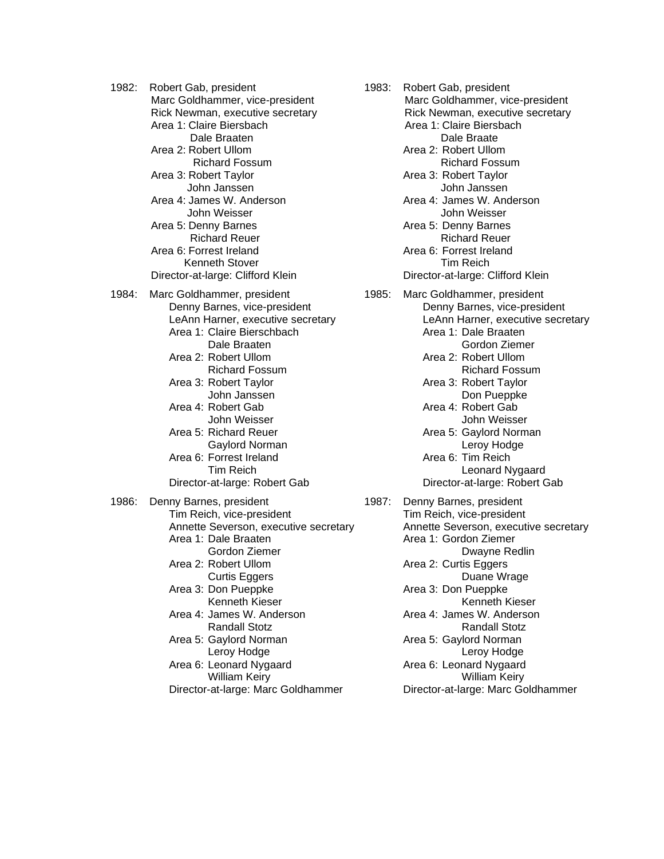1982: Robert Gab, president Marc Goldhammer, vice-president Rick Newman, executive secretary Area 1: Claire Biersbach Dale Braaten Area 2: Robert Ullom Richard Fossum Area 3: Robert Taylor John Janssen Area 4: James W. Anderson John Weisser Area 5: Denny Barnes Richard Reuer Area 6: Forrest Ireland Kenneth Stover Director-at-large: Clifford Klein 1984: Marc Goldhammer, president Denny Barnes, vice-president LeAnn Harner, executive secretary Area 1: Claire Bierschbach Dale Braaten Area 2: Robert Ullom Richard Fossum Area 3: Robert Taylor John Janssen Area 4: Robert Gab John Weisser Area 5: Richard Reuer Gaylord Norman Area 6: Forrest Ireland Tim Reich Director-at-large: Robert Gab 1986: Denny Barnes, president Tim Reich, vice-president Annette Severson, executive secretary Area 1: Dale Braaten Gordon Ziemer Area 2: Robert Ullom Curtis Eggers Area 3: Don Pueppke Kenneth Kieser Area 4: James W. Anderson Randall Stotz Area 5: Gaylord Norman Leroy Hodge Area 6: Leonard Nygaard William Keiry

Director-at-large: Marc Goldhammer

 Area 1: Claire Biersbach Dale Braate Area 2: Robert Ullom Richard Fossum Area 3: Robert Taylor John Janssen Area 4: James W. Anderson John Weisser Area 5: Denny Barnes Richard Reuer Area 6: Forrest Ireland Tim Reich Director-at-large: Clifford Klein 1985: Marc Goldhammer, president Denny Barnes, vice-president

1983: Robert Gab, president

 Marc Goldhammer, vice-president Rick Newman, executive secretary

LeAnn Harner, executive secretary Area 1: Dale Braaten Gordon Ziemer Area 2: Robert Ullom Richard Fossum Area 3: Robert Taylor Don Pueppke Area 4: Robert Gab John Weisser Area 5: Gaylord Norman Leroy Hodge Area 6: Tim Reich Leonard Nygaard Director-at-large: Robert Gab

1987: Denny Barnes, president Tim Reich, vice-president Annette Severson, executive secretary Area 1: Gordon Ziemer Dwayne Redlin Area 2: Curtis Eggers Duane Wrage Area 3: Don Pueppke Kenneth Kieser Area 4: James W. Anderson Randall Stotz Area 5: Gaylord Norman Leroy Hodge Area 6: Leonard Nygaard William Keiry Director-at-large: Marc Goldhammer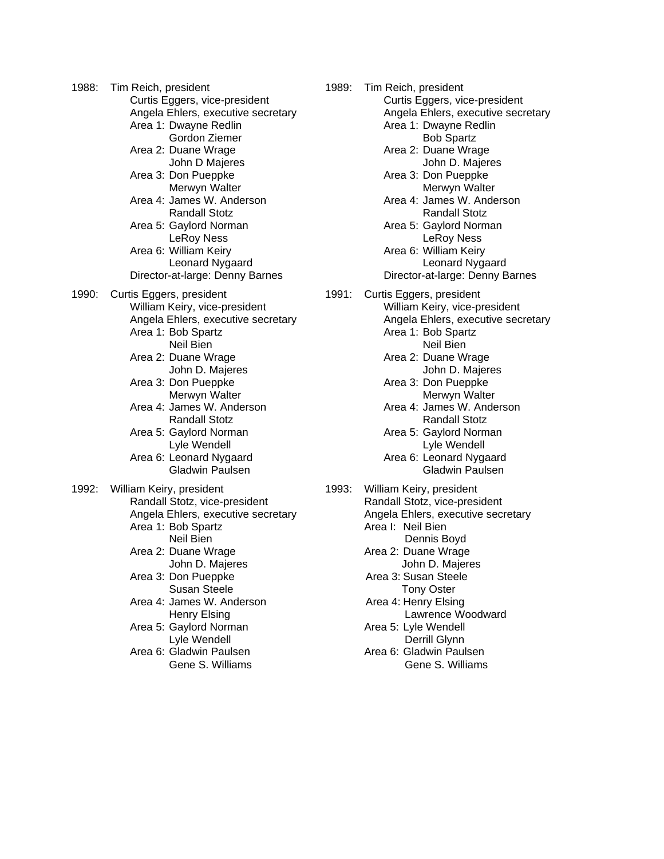1988: Tim Reich, president Curtis Eggers, vice-president Angela Ehlers, executive secretary Area 1: Dwayne Redlin Gordon Ziemer Area 2: Duane Wrage John D Majeres Area 3: Don Pueppke Merwyn Walter Area 4: James W. Anderson Randall Stotz Area 5: Gaylord Norman LeRoy Ness Area 6: William Keiry Leonard Nygaard Director-at-large: Denny Barnes 1990: Curtis Eggers, president William Keiry, vice-president Angela Ehlers, executive secretary Area 1: Bob Spartz Neil Bien Area 2: Duane Wrage John D. Majeres Area 3: Don Pueppke Merwyn Walter Area 4: James W. Anderson Randall Stotz Area 5: Gaylord Norman Lyle Wendell Area 6: Leonard Nygaard Gladwin Paulsen 1992: William Keiry, president Randall Stotz, vice-president Angela Ehlers, executive secretary Area 1: Bob Spartz Neil Bien Area 2: Duane Wrage John D. Majeres Area 3: Don Pueppke Susan Steele Area 4: James W. Anderson Henry Elsing Area 5: Gaylord Norman Lyle Wendell Area 6: Gladwin Paulsen Gene S. Williams

1989: Tim Reich, president Curtis Eggers, vice-president Angela Ehlers, executive secretary Area 1: Dwayne Redlin Bob Spartz Area 2: Duane Wrage John D. Majeres Area 3: Don Pueppke Merwyn Walter Area 4: James W. Anderson Randall Stotz Area 5: Gaylord Norman LeRoy Ness Area 6: William Keiry Leonard Nygaard Director-at-large: Denny Barnes 1991: Curtis Eggers, president William Keiry, vice-president Angela Ehlers, executive secretary Area 1: Bob Spartz Neil Bien Area 2: Duane Wrage John D. Majeres Area 3: Don Pueppke Merwyn Walter Area 4: James W. Anderson Randall Stotz Area 5: Gaylord Norman Lyle Wendell Area 6: Leonard Nygaard Gladwin Paulsen 1993: William Keiry, president Randall Stotz, vice-president Angela Ehlers, executive secretary Area I: Neil Bien Dennis Boyd Area 2: Duane Wrage John D. Majeres Area 3: Susan Steele Tony Oster Area 4: Henry Elsing Lawrence Woodward Area 5: Lyle Wendell Derrill Glynn Area 6: Gladwin Paulsen Gene S. Williams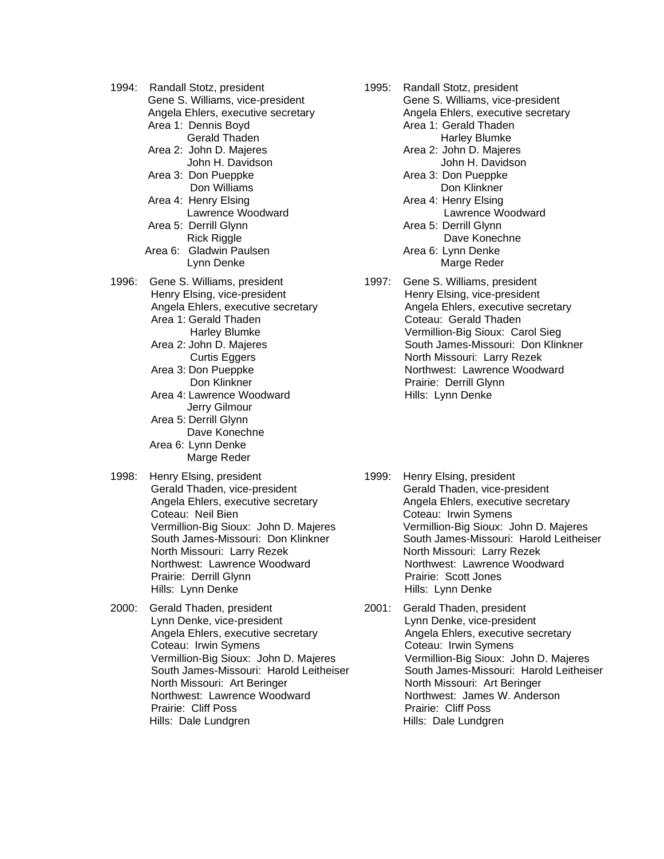1994: Randall Stotz, president Gene S. Williams, vice-president

Angela Ehlers, executive secretary

Area 1: Dennis Boyd

- Gerald Thaden
- Area 2: John D. Majeres John H. Davidson
- Area 3: Don Pueppke Don Williams
- Area 4: Henry Elsing Lawrence Woodward
- Area 5: Derrill Glynn Rick Riggle
- Area 6: Gladwin Paulsen Lynn Denke
- 1996: Gene S. Williams, president Henry Elsing, vice-president Angela Ehlers, executive secretary Area 1: Gerald Thaden Harley Blumke
	- Area 2: John D. Majeres Curtis Eggers
	- Area 3: Don Pueppke Don Klinkner
	- Area 4: Lawrence Woodward Jerry Gilmour
	- Area 5: Derrill Glynn Dave Konechne
	- Area 6: Lynn Denke Marge Reder
- 1998: Henry Elsing, president Gerald Thaden, vice-president Angela Ehlers, executive secretary Coteau: Neil Bien Vermillion-Big Sioux: John D. Majeres South James-Missouri: Don Klinkner North Missouri: Larry Rezek Northwest: Lawrence Woodward Prairie: Derrill Glynn Hills: Lynn Denke
- 2000: Gerald Thaden, president Lynn Denke, vice-president Angela Ehlers, executive secretary Coteau: Irwin Symens Vermillion-Big Sioux: John D. Majeres South James-Missouri: Harold Leitheiser North Missouri: Art Beringer Northwest: Lawrence Woodward Prairie: Cliff Poss Hills: Dale Lundgren
- 1995: Randall Stotz, president Gene S. Williams, vice-president Angela Ehlers, executive secretary Area 1: Gerald Thaden Harley Blumke Area 2: John D. Majeres John H. Davidson Area 3: Don Pueppke Don Klinkner Area 4: Henry Elsing Lawrence Woodward Area 5: Derrill Glynn Dave Konechne Area 6: Lynn Denke Marge Reder
- 1997: Gene S. Williams, president Henry Elsing, vice-president Angela Ehlers, executive secretary Coteau: Gerald Thaden Vermillion-Big Sioux: Carol Sieg South James-Missouri: Don Klinkner North Missouri: Larry Rezek Northwest: Lawrence Woodward Prairie: Derrill Glynn Hills: Lynn Denke
- 1999: Henry Elsing, president Gerald Thaden, vice-president Angela Ehlers, executive secretary Coteau: Irwin Symens Vermillion-Big Sioux: John D. Majeres South James-Missouri: Harold Leitheiser North Missouri: Larry Rezek Northwest: Lawrence Woodward Prairie: Scott Jones Hills: Lynn Denke
- 2001: Gerald Thaden, president Lynn Denke, vice-president Angela Ehlers, executive secretary Coteau: Irwin Symens Vermillion-Big Sioux: John D. Majeres South James-Missouri: Harold Leitheiser North Missouri: Art Beringer Northwest: James W. Anderson Prairie: Cliff Poss Hills: Dale Lundgren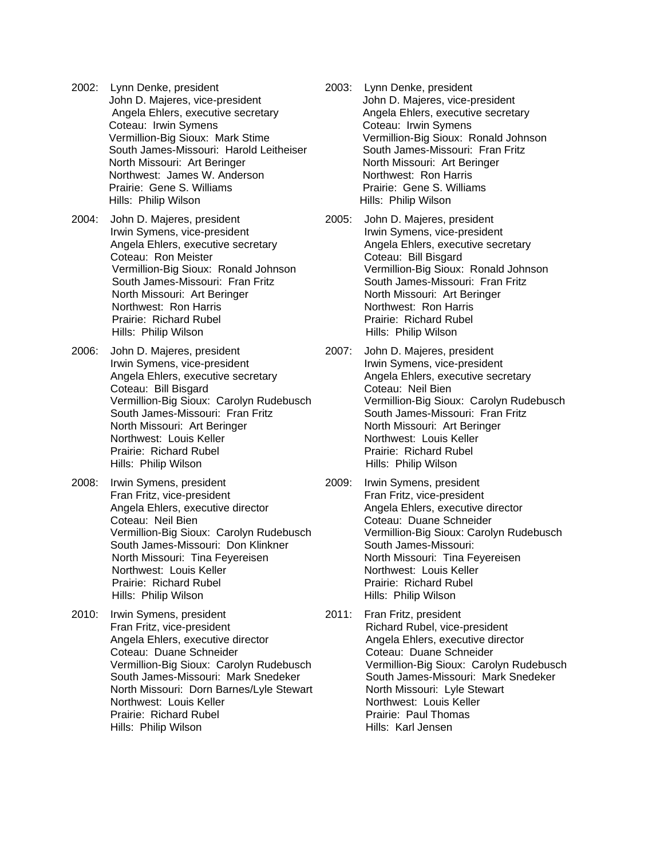- 2002: Lynn Denke, president John D. Majeres, vice-president Angela Ehlers, executive secretary Coteau: Irwin Symens Vermillion-Big Sioux: Mark Stime South James-Missouri: Harold Leitheiser North Missouri: Art Beringer Northwest: James W. Anderson Prairie: Gene S. Williams Hills: Philip Wilson
- 2004: John D. Majeres, president Irwin Symens, vice-president Angela Ehlers, executive secretary Coteau: Ron Meister Vermillion-Big Sioux: Ronald Johnson South James-Missouri: Fran Fritz North Missouri: Art Beringer Northwest: Ron Harris Prairie: Richard Rubel Hills: Philip Wilson
- 2006: John D. Majeres, president Irwin Symens, vice-president Angela Ehlers, executive secretary Coteau: Bill Bisgard Vermillion-Big Sioux: Carolyn Rudebusch South James-Missouri: Fran Fritz North Missouri: Art Beringer Northwest: Louis Keller Prairie: Richard Rubel Hills: Philip Wilson
- 2008: Irwin Symens, president Fran Fritz, vice-president Angela Ehlers, executive director Coteau: Neil Bien Vermillion-Big Sioux: Carolyn Rudebusch South James-Missouri: Don Klinkner North Missouri: Tina Feyereisen Northwest: Louis Keller Prairie: Richard Rubel Hills: Philip Wilson
- 2010: Irwin Symens, president Fran Fritz, vice-president Angela Ehlers, executive director Coteau: Duane Schneider Vermillion-Big Sioux: Carolyn Rudebusch South James-Missouri: Mark Snedeker North Missouri: Dorn Barnes/Lyle Stewart Northwest: Louis Keller Prairie: Richard Rubel Hills: Philip Wilson
- 2003: Lynn Denke, president John D. Majeres, vice-president Angela Ehlers, executive secretary Coteau: Irwin Symens Vermillion-Big Sioux: Ronald Johnson South James-Missouri: Fran Fritz North Missouri: Art Beringer Northwest: Ron Harris Prairie: Gene S. Williams Hills: Philip Wilson
- 2005: John D. Majeres, president Irwin Symens, vice-president Angela Ehlers, executive secretary Coteau: Bill Bisgard Vermillion-Big Sioux: Ronald Johnson South James-Missouri: Fran Fritz North Missouri: Art Beringer Northwest: Ron Harris Prairie: Richard Rubel Hills: Philip Wilson
- 2007: John D. Majeres, president Irwin Symens, vice-president Angela Ehlers, executive secretary Coteau: Neil Bien Vermillion-Big Sioux: Carolyn Rudebusch South James-Missouri: Fran Fritz North Missouri: Art Beringer Northwest: Louis Keller Prairie: Richard Rubel Hills: Philip Wilson
- 2009: Irwin Symens, president Fran Fritz, vice-president Angela Ehlers, executive director Coteau: Duane Schneider Vermillion-Big Sioux: Carolyn Rudebusch South James-Missouri: North Missouri: Tina Feyereisen Northwest: Louis Keller Prairie: Richard Rubel Hills: Philip Wilson
- 2011: Fran Fritz, president Richard Rubel, vice-president Angela Ehlers, executive director Coteau: Duane Schneider Vermillion-Big Sioux: Carolyn Rudebusch South James-Missouri: Mark Snedeker North Missouri: Lyle Stewart Northwest: Louis Keller Prairie: Paul Thomas Hills: Karl Jensen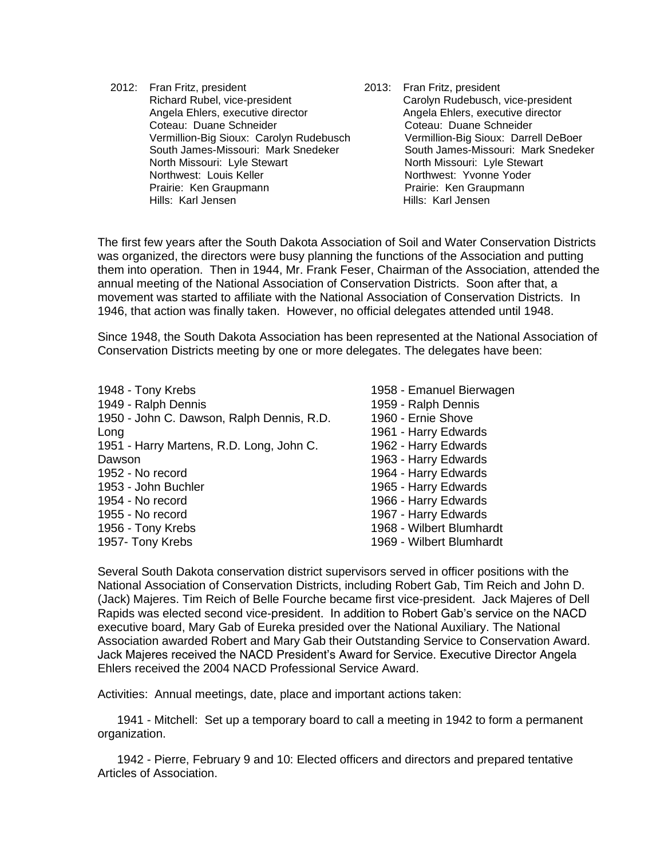2012: Fran Fritz, president Richard Rubel, vice-president Angela Ehlers, executive director Coteau: Duane Schneider Vermillion-Big Sioux: Carolyn Rudebusch South James-Missouri: Mark Snedeker North Missouri: Lyle Stewart Northwest: Louis Keller Prairie: Ken Graupmann Hills: Karl Jensen

2013: Fran Fritz, president Carolyn Rudebusch, vice-president Angela Ehlers, executive director Coteau: Duane Schneider Vermillion-Big Sioux: Darrell DeBoer South James-Missouri: Mark Snedeker North Missouri: Lyle Stewart Northwest: Yvonne Yoder Prairie: Ken Graupmann Hills: Karl Jensen

The first few years after the South Dakota Association of Soil and Water Conservation Districts was organized, the directors were busy planning the functions of the Association and putting them into operation. Then in 1944, Mr. Frank Feser, Chairman of the Association, attended the annual meeting of the National Association of Conservation Districts. Soon after that, a movement was started to affiliate with the National Association of Conservation Districts. In 1946, that action was finally taken. However, no official delegates attended until 1948.

Since 1948, the South Dakota Association has been represented at the National Association of Conservation Districts meeting by one or more delegates. The delegates have been:

| 1948 - Tony Krebs                         | 1958 - Emanuel Bierwagen |
|-------------------------------------------|--------------------------|
|                                           |                          |
| 1949 - Ralph Dennis                       | 1959 - Ralph Dennis      |
| 1950 - John C. Dawson, Ralph Dennis, R.D. | 1960 - Ernie Shove       |
| Long                                      | 1961 - Harry Edwards     |
| 1951 - Harry Martens, R.D. Long, John C.  | 1962 - Harry Edwards     |
| Dawson                                    | 1963 - Harry Edwards     |
| 1952 - No record                          | 1964 - Harry Edwards     |
| 1953 - John Buchler                       | 1965 - Harry Edwards     |
| 1954 - No record                          | 1966 - Harry Edwards     |
| 1955 - No record                          | 1967 - Harry Edwards     |
| 1956 - Tony Krebs                         | 1968 - Wilbert Blumhardt |
| 1957- Tony Krebs                          | 1969 - Wilbert Blumhardt |

Several South Dakota conservation district supervisors served in officer positions with the National Association of Conservation Districts, including Robert Gab, Tim Reich and John D. (Jack) Majeres. Tim Reich of Belle Fourche became first vice-president. Jack Majeres of Dell Rapids was elected second vice-president. In addition to Robert Gab's service on the NACD executive board, Mary Gab of Eureka presided over the National Auxiliary. The National Association awarded Robert and Mary Gab their Outstanding Service to Conservation Award. Jack Majeres received the NACD President's Award for Service. Executive Director Angela Ehlers received the 2004 NACD Professional Service Award.

Activities: Annual meetings, date, place and important actions taken:

1941 - Mitchell: Set up a temporary board to call a meeting in 1942 to form a permanent organization.

1942 - Pierre, February 9 and 10: Elected officers and directors and prepared tentative Articles of Association.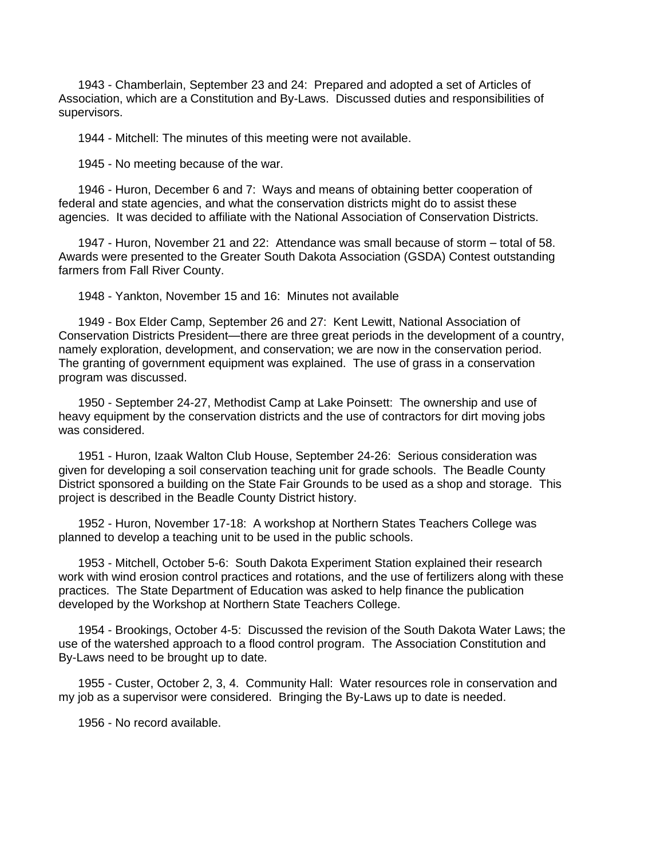1943 - Chamberlain, September 23 and 24: Prepared and adopted a set of Articles of Association, which are a Constitution and By-Laws. Discussed duties and responsibilities of supervisors.

1944 - Mitchell: The minutes of this meeting were not available.

1945 - No meeting because of the war.

1946 - Huron, December 6 and 7: Ways and means of obtaining better cooperation of federal and state agencies, and what the conservation districts might do to assist these agencies. It was decided to affiliate with the National Association of Conservation Districts.

1947 - Huron, November 21 and 22: Attendance was small because of storm – total of 58. Awards were presented to the Greater South Dakota Association (GSDA) Contest outstanding farmers from Fall River County.

1948 - Yankton, November 15 and 16: Minutes not available

1949 - Box Elder Camp, September 26 and 27: Kent Lewitt, National Association of Conservation Districts President—there are three great periods in the development of a country, namely exploration, development, and conservation; we are now in the conservation period. The granting of government equipment was explained. The use of grass in a conservation program was discussed.

1950 - September 24-27, Methodist Camp at Lake Poinsett: The ownership and use of heavy equipment by the conservation districts and the use of contractors for dirt moving jobs was considered.

1951 - Huron, Izaak Walton Club House, September 24-26: Serious consideration was given for developing a soil conservation teaching unit for grade schools. The Beadle County District sponsored a building on the State Fair Grounds to be used as a shop and storage. This project is described in the Beadle County District history.

1952 - Huron, November 17-18: A workshop at Northern States Teachers College was planned to develop a teaching unit to be used in the public schools.

1953 - Mitchell, October 5-6: South Dakota Experiment Station explained their research work with wind erosion control practices and rotations, and the use of fertilizers along with these practices. The State Department of Education was asked to help finance the publication developed by the Workshop at Northern State Teachers College.

1954 - Brookings, October 4-5: Discussed the revision of the South Dakota Water Laws; the use of the watershed approach to a flood control program. The Association Constitution and By-Laws need to be brought up to date.

1955 - Custer, October 2, 3, 4. Community Hall: Water resources role in conservation and my job as a supervisor were considered. Bringing the By-Laws up to date is needed.

1956 - No record available.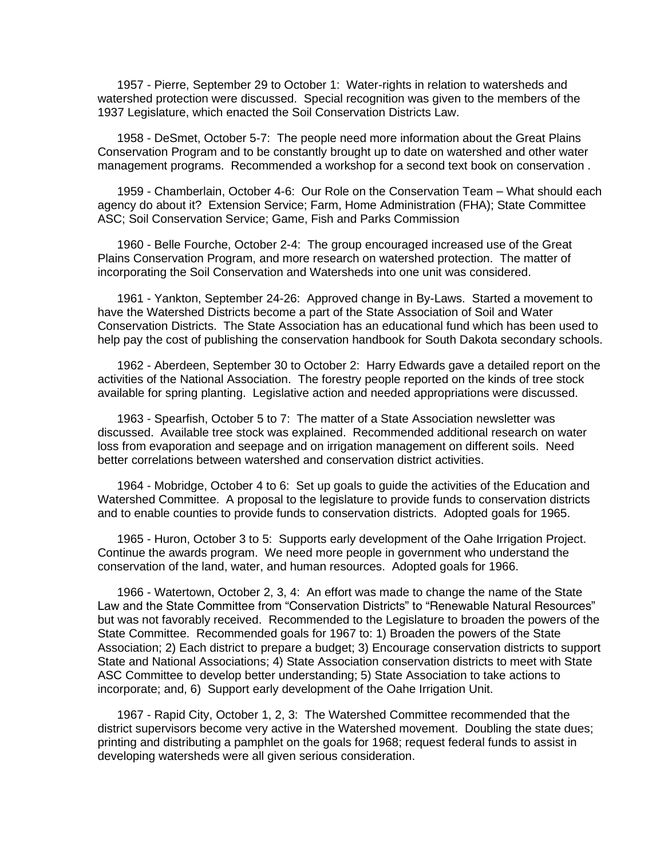1957 - Pierre, September 29 to October 1: Water-rights in relation to watersheds and watershed protection were discussed. Special recognition was given to the members of the 1937 Legislature, which enacted the Soil Conservation Districts Law.

1958 - DeSmet, October 5-7: The people need more information about the Great Plains Conservation Program and to be constantly brought up to date on watershed and other water management programs. Recommended a workshop for a second text book on conservation .

1959 - Chamberlain, October 4-6: Our Role on the Conservation Team – What should each agency do about it? Extension Service; Farm, Home Administration (FHA); State Committee ASC; Soil Conservation Service; Game, Fish and Parks Commission

1960 - Belle Fourche, October 2-4: The group encouraged increased use of the Great Plains Conservation Program, and more research on watershed protection. The matter of incorporating the Soil Conservation and Watersheds into one unit was considered.

1961 - Yankton, September 24-26: Approved change in By-Laws. Started a movement to have the Watershed Districts become a part of the State Association of Soil and Water Conservation Districts. The State Association has an educational fund which has been used to help pay the cost of publishing the conservation handbook for South Dakota secondary schools.

1962 - Aberdeen, September 30 to October 2: Harry Edwards gave a detailed report on the activities of the National Association. The forestry people reported on the kinds of tree stock available for spring planting. Legislative action and needed appropriations were discussed.

1963 - Spearfish, October 5 to 7: The matter of a State Association newsletter was discussed. Available tree stock was explained. Recommended additional research on water loss from evaporation and seepage and on irrigation management on different soils. Need better correlations between watershed and conservation district activities.

1964 - Mobridge, October 4 to 6: Set up goals to guide the activities of the Education and Watershed Committee. A proposal to the legislature to provide funds to conservation districts and to enable counties to provide funds to conservation districts. Adopted goals for 1965.

1965 - Huron, October 3 to 5: Supports early development of the Oahe Irrigation Project. Continue the awards program. We need more people in government who understand the conservation of the land, water, and human resources. Adopted goals for 1966.

1966 - Watertown, October 2, 3, 4: An effort was made to change the name of the State Law and the State Committee from "Conservation Districts" to "Renewable Natural Resources" but was not favorably received. Recommended to the Legislature to broaden the powers of the State Committee. Recommended goals for 1967 to: 1) Broaden the powers of the State Association; 2) Each district to prepare a budget; 3) Encourage conservation districts to support State and National Associations; 4) State Association conservation districts to meet with State ASC Committee to develop better understanding; 5) State Association to take actions to incorporate; and, 6) Support early development of the Oahe Irrigation Unit.

1967 - Rapid City, October 1, 2, 3: The Watershed Committee recommended that the district supervisors become very active in the Watershed movement. Doubling the state dues; printing and distributing a pamphlet on the goals for 1968; request federal funds to assist in developing watersheds were all given serious consideration.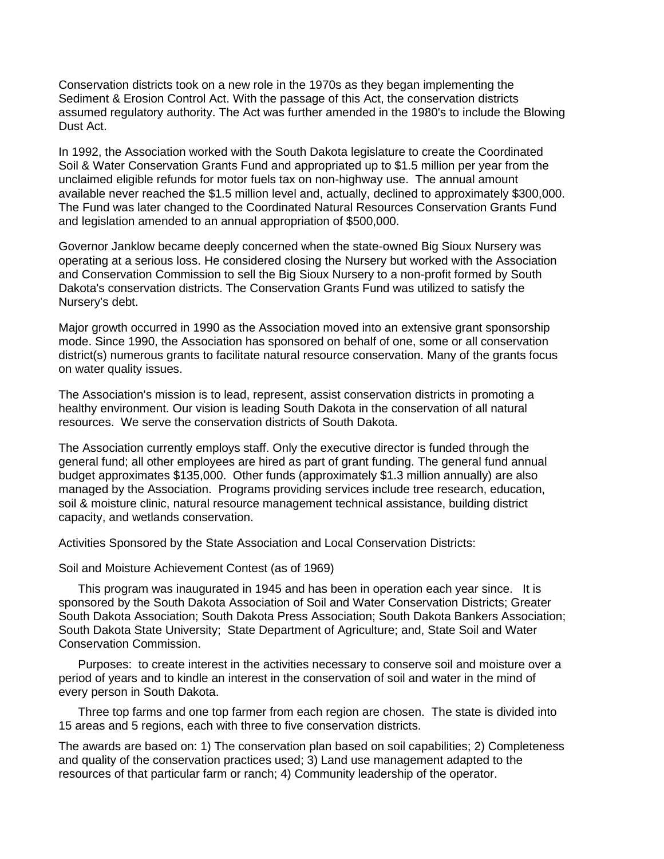Conservation districts took on a new role in the 1970s as they began implementing the Sediment & Erosion Control Act. With the passage of this Act, the conservation districts assumed regulatory authority. The Act was further amended in the 1980's to include the Blowing Dust Act.

In 1992, the Association worked with the South Dakota legislature to create the Coordinated Soil & Water Conservation Grants Fund and appropriated up to \$1.5 million per year from the unclaimed eligible refunds for motor fuels tax on non-highway use. The annual amount available never reached the \$1.5 million level and, actually, declined to approximately \$300,000. The Fund was later changed to the Coordinated Natural Resources Conservation Grants Fund and legislation amended to an annual appropriation of \$500,000.

Governor Janklow became deeply concerned when the state-owned Big Sioux Nursery was operating at a serious loss. He considered closing the Nursery but worked with the Association and Conservation Commission to sell the Big Sioux Nursery to a non-profit formed by South Dakota's conservation districts. The Conservation Grants Fund was utilized to satisfy the Nursery's debt.

Major growth occurred in 1990 as the Association moved into an extensive grant sponsorship mode. Since 1990, the Association has sponsored on behalf of one, some or all conservation district(s) numerous grants to facilitate natural resource conservation. Many of the grants focus on water quality issues.

The Association's mission is to lead, represent, assist conservation districts in promoting a healthy environment. Our vision is leading South Dakota in the conservation of all natural resources. We serve the conservation districts of South Dakota.

The Association currently employs staff. Only the executive director is funded through the general fund; all other employees are hired as part of grant funding. The general fund annual budget approximates \$135,000. Other funds (approximately \$1.3 million annually) are also managed by the Association. Programs providing services include tree research, education, soil & moisture clinic, natural resource management technical assistance, building district capacity, and wetlands conservation.

Activities Sponsored by the State Association and Local Conservation Districts:

Soil and Moisture Achievement Contest (as of 1969)

This program was inaugurated in 1945 and has been in operation each year since. It is sponsored by the South Dakota Association of Soil and Water Conservation Districts; Greater South Dakota Association; South Dakota Press Association; South Dakota Bankers Association; South Dakota State University; State Department of Agriculture; and, State Soil and Water Conservation Commission.

Purposes: to create interest in the activities necessary to conserve soil and moisture over a period of years and to kindle an interest in the conservation of soil and water in the mind of every person in South Dakota.

Three top farms and one top farmer from each region are chosen. The state is divided into 15 areas and 5 regions, each with three to five conservation districts.

The awards are based on: 1) The conservation plan based on soil capabilities; 2) Completeness and quality of the conservation practices used; 3) Land use management adapted to the resources of that particular farm or ranch; 4) Community leadership of the operator.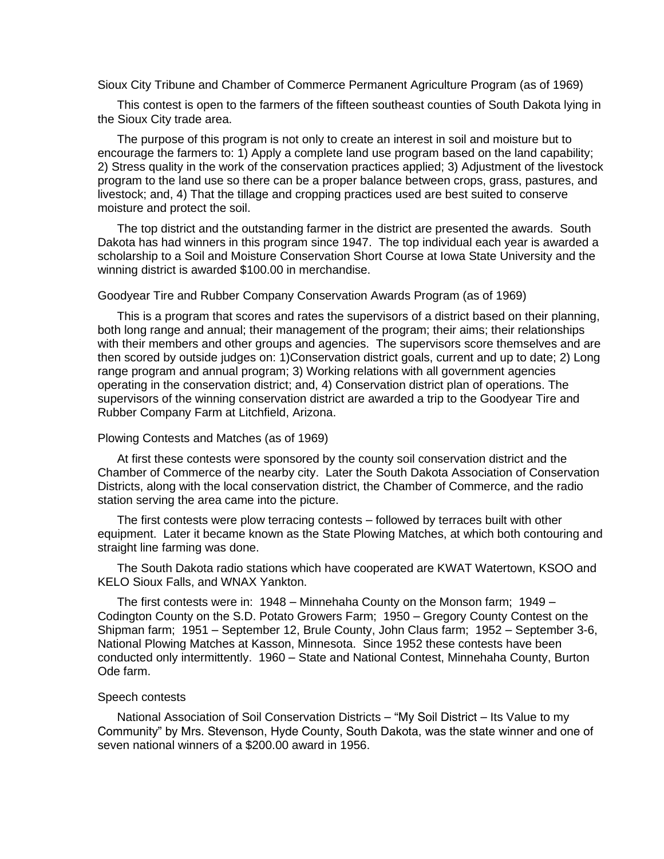Sioux City Tribune and Chamber of Commerce Permanent Agriculture Program (as of 1969)

This contest is open to the farmers of the fifteen southeast counties of South Dakota lying in the Sioux City trade area.

The purpose of this program is not only to create an interest in soil and moisture but to encourage the farmers to: 1) Apply a complete land use program based on the land capability; 2) Stress quality in the work of the conservation practices applied; 3) Adjustment of the livestock program to the land use so there can be a proper balance between crops, grass, pastures, and livestock; and, 4) That the tillage and cropping practices used are best suited to conserve moisture and protect the soil.

The top district and the outstanding farmer in the district are presented the awards. South Dakota has had winners in this program since 1947. The top individual each year is awarded a scholarship to a Soil and Moisture Conservation Short Course at Iowa State University and the winning district is awarded \$100.00 in merchandise.

## Goodyear Tire and Rubber Company Conservation Awards Program (as of 1969)

This is a program that scores and rates the supervisors of a district based on their planning, both long range and annual; their management of the program; their aims; their relationships with their members and other groups and agencies. The supervisors score themselves and are then scored by outside judges on: 1)Conservation district goals, current and up to date; 2) Long range program and annual program; 3) Working relations with all government agencies operating in the conservation district; and, 4) Conservation district plan of operations. The supervisors of the winning conservation district are awarded a trip to the Goodyear Tire and Rubber Company Farm at Litchfield, Arizona.

### Plowing Contests and Matches (as of 1969)

At first these contests were sponsored by the county soil conservation district and the Chamber of Commerce of the nearby city. Later the South Dakota Association of Conservation Districts, along with the local conservation district, the Chamber of Commerce, and the radio station serving the area came into the picture.

The first contests were plow terracing contests – followed by terraces built with other equipment. Later it became known as the State Plowing Matches, at which both contouring and straight line farming was done.

The South Dakota radio stations which have cooperated are KWAT Watertown, KSOO and KELO Sioux Falls, and WNAX Yankton.

The first contests were in: 1948 – Minnehaha County on the Monson farm; 1949 – Codington County on the S.D. Potato Growers Farm; 1950 – Gregory County Contest on the Shipman farm; 1951 – September 12, Brule County, John Claus farm; 1952 – September 3-6, National Plowing Matches at Kasson, Minnesota. Since 1952 these contests have been conducted only intermittently. 1960 – State and National Contest, Minnehaha County, Burton Ode farm.

## Speech contests

National Association of Soil Conservation Districts – "My Soil District – Its Value to my Community" by Mrs. Stevenson, Hyde County, South Dakota, was the state winner and one of seven national winners of a \$200.00 award in 1956.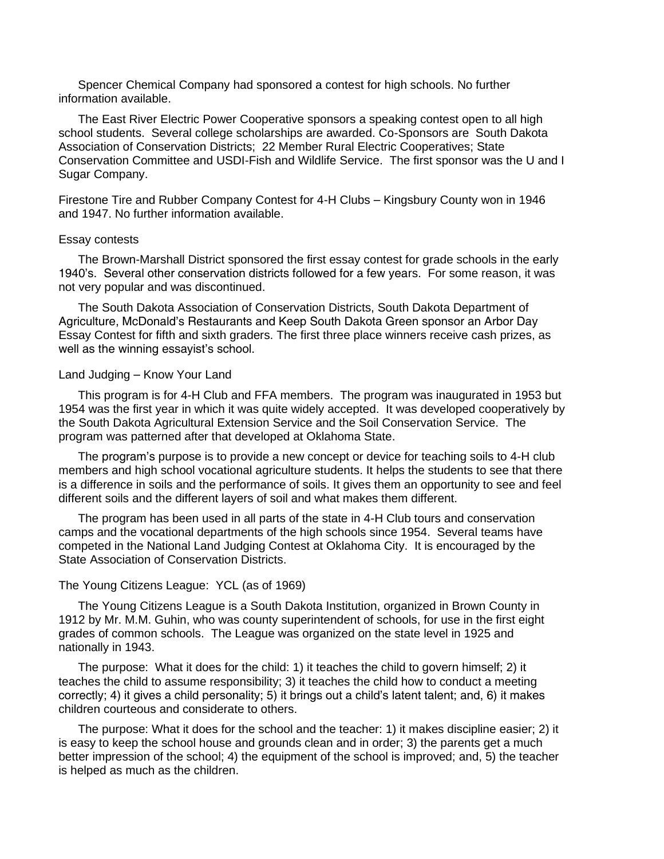Spencer Chemical Company had sponsored a contest for high schools. No further information available.

The East River Electric Power Cooperative sponsors a speaking contest open to all high school students. Several college scholarships are awarded. Co-Sponsors are South Dakota Association of Conservation Districts; 22 Member Rural Electric Cooperatives; State Conservation Committee and USDI-Fish and Wildlife Service. The first sponsor was the U and I Sugar Company.

Firestone Tire and Rubber Company Contest for 4-H Clubs – Kingsbury County won in 1946 and 1947. No further information available.

#### Essay contests

The Brown-Marshall District sponsored the first essay contest for grade schools in the early 1940's. Several other conservation districts followed for a few years. For some reason, it was not very popular and was discontinued.

The South Dakota Association of Conservation Districts, South Dakota Department of Agriculture, McDonald's Restaurants and Keep South Dakota Green sponsor an Arbor Day Essay Contest for fifth and sixth graders. The first three place winners receive cash prizes, as well as the winning essayist's school.

## Land Judging – Know Your Land

This program is for 4-H Club and FFA members. The program was inaugurated in 1953 but 1954 was the first year in which it was quite widely accepted. It was developed cooperatively by the South Dakota Agricultural Extension Service and the Soil Conservation Service. The program was patterned after that developed at Oklahoma State.

The program's purpose is to provide a new concept or device for teaching soils to 4-H club members and high school vocational agriculture students. It helps the students to see that there is a difference in soils and the performance of soils. It gives them an opportunity to see and feel different soils and the different layers of soil and what makes them different.

The program has been used in all parts of the state in 4-H Club tours and conservation camps and the vocational departments of the high schools since 1954. Several teams have competed in the National Land Judging Contest at Oklahoma City. It is encouraged by the State Association of Conservation Districts.

# The Young Citizens League: YCL (as of 1969)

The Young Citizens League is a South Dakota Institution, organized in Brown County in 1912 by Mr. M.M. Guhin, who was county superintendent of schools, for use in the first eight grades of common schools. The League was organized on the state level in 1925 and nationally in 1943.

The purpose: What it does for the child: 1) it teaches the child to govern himself; 2) it teaches the child to assume responsibility; 3) it teaches the child how to conduct a meeting correctly; 4) it gives a child personality; 5) it brings out a child's latent talent; and, 6) it makes children courteous and considerate to others.

The purpose: What it does for the school and the teacher: 1) it makes discipline easier; 2) it is easy to keep the school house and grounds clean and in order; 3) the parents get a much better impression of the school; 4) the equipment of the school is improved; and, 5) the teacher is helped as much as the children.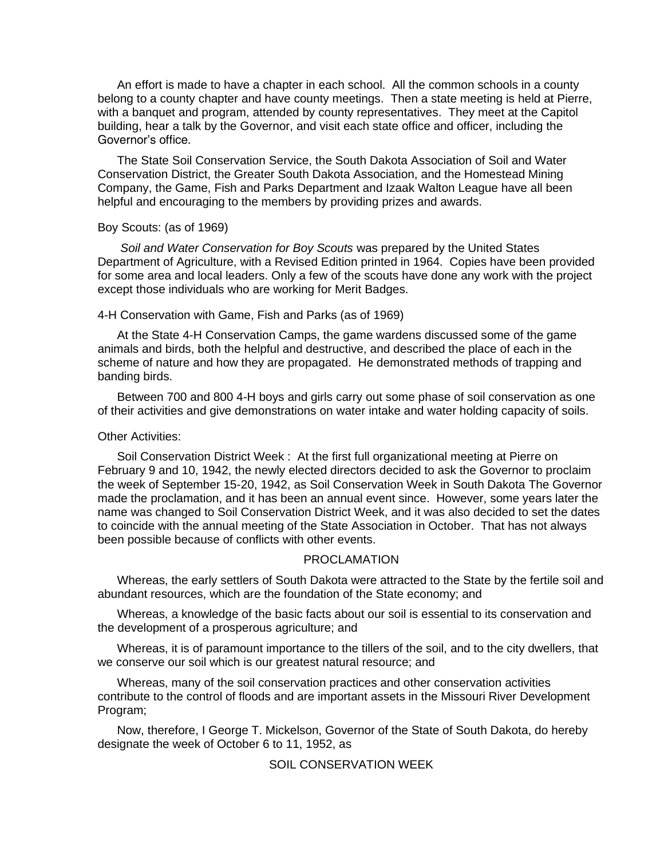An effort is made to have a chapter in each school. All the common schools in a county belong to a county chapter and have county meetings. Then a state meeting is held at Pierre, with a banquet and program, attended by county representatives. They meet at the Capitol building, hear a talk by the Governor, and visit each state office and officer, including the Governor's office.

The State Soil Conservation Service, the South Dakota Association of Soil and Water Conservation District, the Greater South Dakota Association, and the Homestead Mining Company, the Game, Fish and Parks Department and Izaak Walton League have all been helpful and encouraging to the members by providing prizes and awards.

# Boy Scouts: (as of 1969)

*Soil and Water Conservation for Boy Scouts* was prepared by the United States Department of Agriculture, with a Revised Edition printed in 1964. Copies have been provided for some area and local leaders. Only a few of the scouts have done any work with the project except those individuals who are working for Merit Badges.

#### 4-H Conservation with Game, Fish and Parks (as of 1969)

At the State 4-H Conservation Camps, the game wardens discussed some of the game animals and birds, both the helpful and destructive, and described the place of each in the scheme of nature and how they are propagated. He demonstrated methods of trapping and banding birds.

Between 700 and 800 4-H boys and girls carry out some phase of soil conservation as one of their activities and give demonstrations on water intake and water holding capacity of soils.

# Other Activities:

Soil Conservation District Week : At the first full organizational meeting at Pierre on February 9 and 10, 1942, the newly elected directors decided to ask the Governor to proclaim the week of September 15-20, 1942, as Soil Conservation Week in South Dakota The Governor made the proclamation, and it has been an annual event since. However, some years later the name was changed to Soil Conservation District Week, and it was also decided to set the dates to coincide with the annual meeting of the State Association in October. That has not always been possible because of conflicts with other events.

# PROCLAMATION

Whereas, the early settlers of South Dakota were attracted to the State by the fertile soil and abundant resources, which are the foundation of the State economy; and

Whereas, a knowledge of the basic facts about our soil is essential to its conservation and the development of a prosperous agriculture; and

Whereas, it is of paramount importance to the tillers of the soil, and to the city dwellers, that we conserve our soil which is our greatest natural resource; and

Whereas, many of the soil conservation practices and other conservation activities contribute to the control of floods and are important assets in the Missouri River Development Program;

Now, therefore, I George T. Mickelson, Governor of the State of South Dakota, do hereby designate the week of October 6 to 11, 1952, as

# SOIL CONSERVATION WEEK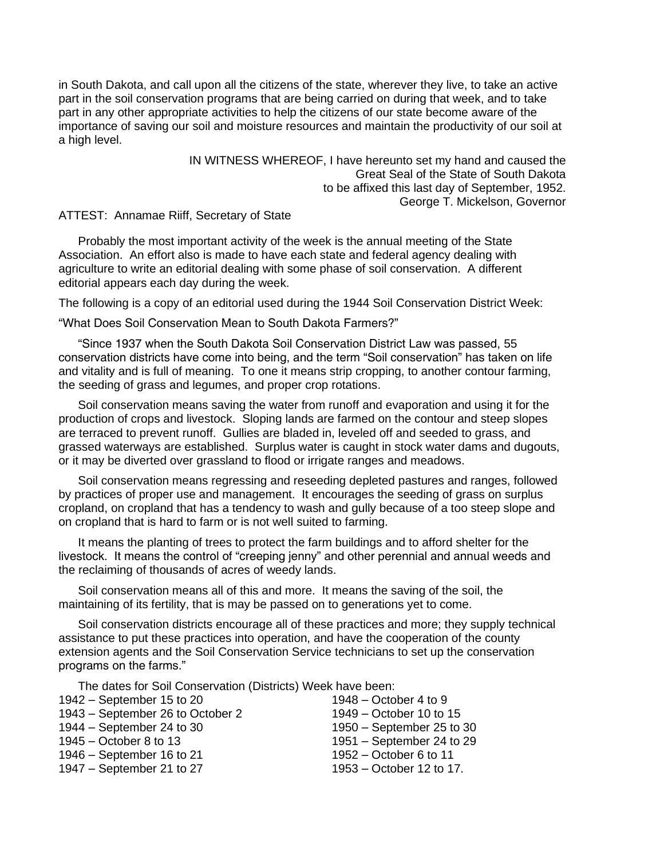in South Dakota, and call upon all the citizens of the state, wherever they live, to take an active part in the soil conservation programs that are being carried on during that week, and to take part in any other appropriate activities to help the citizens of our state become aware of the importance of saving our soil and moisture resources and maintain the productivity of our soil at a high level.

> IN WITNESS WHEREOF, I have hereunto set my hand and caused the Great Seal of the State of South Dakota to be affixed this last day of September, 1952. George T. Mickelson, Governor

ATTEST: Annamae Riiff, Secretary of State

Probably the most important activity of the week is the annual meeting of the State Association. An effort also is made to have each state and federal agency dealing with agriculture to write an editorial dealing with some phase of soil conservation. A different editorial appears each day during the week.

The following is a copy of an editorial used during the 1944 Soil Conservation District Week:

"What Does Soil Conservation Mean to South Dakota Farmers?"

"Since 1937 when the South Dakota Soil Conservation District Law was passed, 55 conservation districts have come into being, and the term "Soil conservation" has taken on life and vitality and is full of meaning. To one it means strip cropping, to another contour farming, the seeding of grass and legumes, and proper crop rotations.

Soil conservation means saving the water from runoff and evaporation and using it for the production of crops and livestock. Sloping lands are farmed on the contour and steep slopes are terraced to prevent runoff. Gullies are bladed in, leveled off and seeded to grass, and grassed waterways are established. Surplus water is caught in stock water dams and dugouts, or it may be diverted over grassland to flood or irrigate ranges and meadows.

Soil conservation means regressing and reseeding depleted pastures and ranges, followed by practices of proper use and management. It encourages the seeding of grass on surplus cropland, on cropland that has a tendency to wash and gully because of a too steep slope and on cropland that is hard to farm or is not well suited to farming.

It means the planting of trees to protect the farm buildings and to afford shelter for the livestock. It means the control of "creeping jenny" and other perennial and annual weeds and the reclaiming of thousands of acres of weedy lands.

Soil conservation means all of this and more. It means the saving of the soil, the maintaining of its fertility, that is may be passed on to generations yet to come.

Soil conservation districts encourage all of these practices and more; they supply technical assistance to put these practices into operation, and have the cooperation of the county extension agents and the Soil Conservation Service technicians to set up the conservation programs on the farms."

The dates for Soil Conservation (Districts) Week have been:

| $1942 - September 15$ to 20      | $1948 - October 4 to 9$     |
|----------------------------------|-----------------------------|
| 1943 – September 26 to October 2 | 1949 – October 10 to 15     |
| $1944 - September 24$ to 30      | 1950 – September 25 to 30   |
| $1945 - October 8 to 13$         | $1951 - September 24$ to 29 |
| $1946$ – September 16 to 21      | $1952 - October 6$ to 11    |
| $1947 - September 21$ to 27      | 1953 – October 12 to 17.    |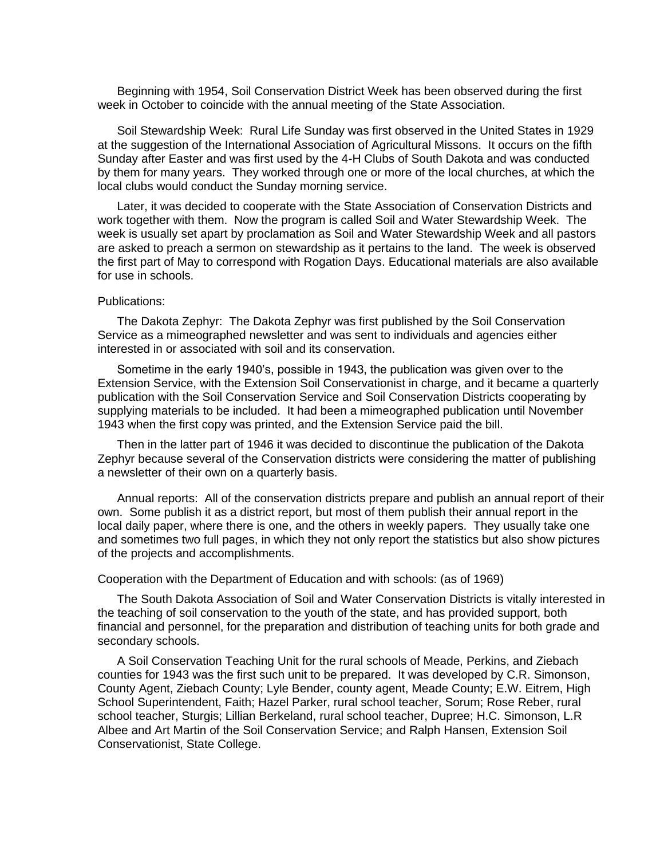Beginning with 1954, Soil Conservation District Week has been observed during the first week in October to coincide with the annual meeting of the State Association.

Soil Stewardship Week: Rural Life Sunday was first observed in the United States in 1929 at the suggestion of the International Association of Agricultural Missons. It occurs on the fifth Sunday after Easter and was first used by the 4-H Clubs of South Dakota and was conducted by them for many years. They worked through one or more of the local churches, at which the local clubs would conduct the Sunday morning service.

Later, it was decided to cooperate with the State Association of Conservation Districts and work together with them. Now the program is called Soil and Water Stewardship Week. The week is usually set apart by proclamation as Soil and Water Stewardship Week and all pastors are asked to preach a sermon on stewardship as it pertains to the land. The week is observed the first part of May to correspond with Rogation Days. Educational materials are also available for use in schools.

#### Publications:

The Dakota Zephyr: The Dakota Zephyr was first published by the Soil Conservation Service as a mimeographed newsletter and was sent to individuals and agencies either interested in or associated with soil and its conservation.

Sometime in the early 1940's, possible in 1943, the publication was given over to the Extension Service, with the Extension Soil Conservationist in charge, and it became a quarterly publication with the Soil Conservation Service and Soil Conservation Districts cooperating by supplying materials to be included. It had been a mimeographed publication until November 1943 when the first copy was printed, and the Extension Service paid the bill.

Then in the latter part of 1946 it was decided to discontinue the publication of the Dakota Zephyr because several of the Conservation districts were considering the matter of publishing a newsletter of their own on a quarterly basis.

Annual reports: All of the conservation districts prepare and publish an annual report of their own. Some publish it as a district report, but most of them publish their annual report in the local daily paper, where there is one, and the others in weekly papers. They usually take one and sometimes two full pages, in which they not only report the statistics but also show pictures of the projects and accomplishments.

## Cooperation with the Department of Education and with schools: (as of 1969)

The South Dakota Association of Soil and Water Conservation Districts is vitally interested in the teaching of soil conservation to the youth of the state, and has provided support, both financial and personnel, for the preparation and distribution of teaching units for both grade and secondary schools.

A Soil Conservation Teaching Unit for the rural schools of Meade, Perkins, and Ziebach counties for 1943 was the first such unit to be prepared. It was developed by C.R. Simonson, County Agent, Ziebach County; Lyle Bender, county agent, Meade County; E.W. Eitrem, High School Superintendent, Faith; Hazel Parker, rural school teacher, Sorum; Rose Reber, rural school teacher, Sturgis; Lillian Berkeland, rural school teacher, Dupree; H.C. Simonson, L.R Albee and Art Martin of the Soil Conservation Service; and Ralph Hansen, Extension Soil Conservationist, State College.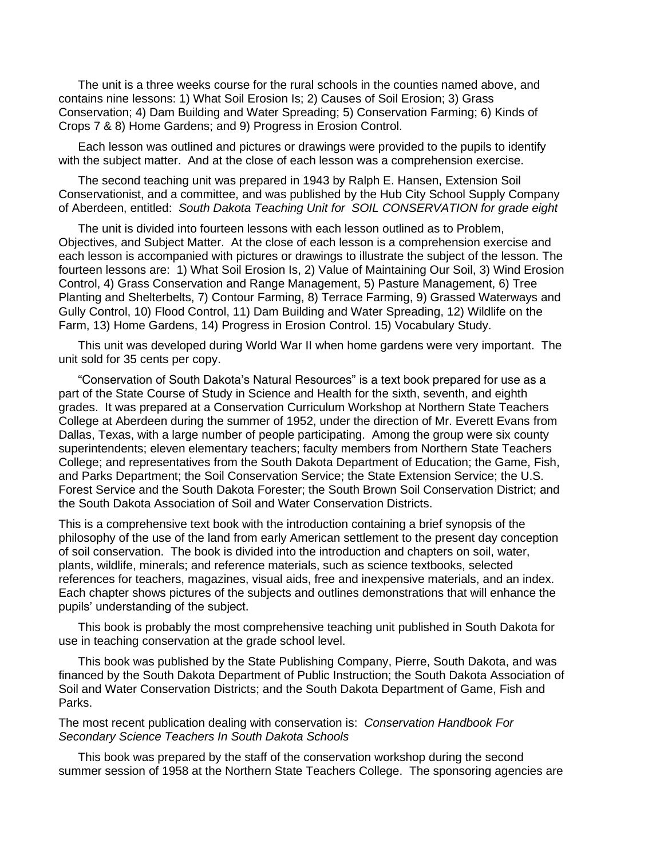The unit is a three weeks course for the rural schools in the counties named above, and contains nine lessons: 1) What Soil Erosion Is; 2) Causes of Soil Erosion; 3) Grass Conservation; 4) Dam Building and Water Spreading; 5) Conservation Farming; 6) Kinds of Crops 7 & 8) Home Gardens; and 9) Progress in Erosion Control.

Each lesson was outlined and pictures or drawings were provided to the pupils to identify with the subject matter. And at the close of each lesson was a comprehension exercise.

The second teaching unit was prepared in 1943 by Ralph E. Hansen, Extension Soil Conservationist, and a committee, and was published by the Hub City School Supply Company of Aberdeen, entitled: *South Dakota Teaching Unit for SOIL CONSERVATION for grade eight* 

The unit is divided into fourteen lessons with each lesson outlined as to Problem, Objectives, and Subject Matter. At the close of each lesson is a comprehension exercise and each lesson is accompanied with pictures or drawings to illustrate the subject of the lesson. The fourteen lessons are: 1) What Soil Erosion Is, 2) Value of Maintaining Our Soil, 3) Wind Erosion Control, 4) Grass Conservation and Range Management, 5) Pasture Management, 6) Tree Planting and Shelterbelts, 7) Contour Farming, 8) Terrace Farming, 9) Grassed Waterways and Gully Control, 10) Flood Control, 11) Dam Building and Water Spreading, 12) Wildlife on the Farm, 13) Home Gardens, 14) Progress in Erosion Control. 15) Vocabulary Study.

This unit was developed during World War II when home gardens were very important. The unit sold for 35 cents per copy.

"Conservation of South Dakota's Natural Resources" is a text book prepared for use as a part of the State Course of Study in Science and Health for the sixth, seventh, and eighth grades. It was prepared at a Conservation Curriculum Workshop at Northern State Teachers College at Aberdeen during the summer of 1952, under the direction of Mr. Everett Evans from Dallas, Texas, with a large number of people participating. Among the group were six county superintendents; eleven elementary teachers; faculty members from Northern State Teachers College; and representatives from the South Dakota Department of Education; the Game, Fish, and Parks Department; the Soil Conservation Service; the State Extension Service; the U.S. Forest Service and the South Dakota Forester; the South Brown Soil Conservation District; and the South Dakota Association of Soil and Water Conservation Districts.

This is a comprehensive text book with the introduction containing a brief synopsis of the philosophy of the use of the land from early American settlement to the present day conception of soil conservation. The book is divided into the introduction and chapters on soil, water, plants, wildlife, minerals; and reference materials, such as science textbooks, selected references for teachers, magazines, visual aids, free and inexpensive materials, and an index. Each chapter shows pictures of the subjects and outlines demonstrations that will enhance the pupils' understanding of the subject.

This book is probably the most comprehensive teaching unit published in South Dakota for use in teaching conservation at the grade school level.

This book was published by the State Publishing Company, Pierre, South Dakota, and was financed by the South Dakota Department of Public Instruction; the South Dakota Association of Soil and Water Conservation Districts; and the South Dakota Department of Game, Fish and Parks.

The most recent publication dealing with conservation is: *Conservation Handbook For Secondary Science Teachers In South Dakota Schools*

This book was prepared by the staff of the conservation workshop during the second summer session of 1958 at the Northern State Teachers College. The sponsoring agencies are